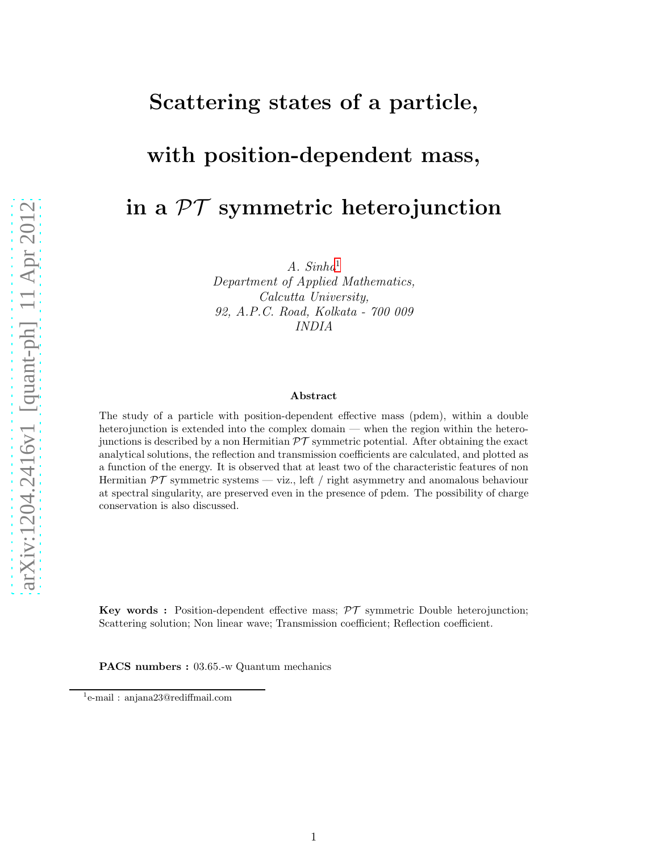## Scattering states of a particle,

## with position-dependent mass,

# in a  $\mathcal{PT}$  symmetric heterojunction

 $A. \; Sinha<sup>1</sup>$  $A. \; Sinha<sup>1</sup>$  $A. \; Sinha<sup>1</sup>$ 

Department of Applied Mathematics, Calcutta University, 92, A.P.C. Road, Kolkata - 700 009 INDIA

#### Abstract

The study of a particle with position-dependent effective mass (pdem), within a double heterojunction is extended into the complex domain — when the region within the heterojunctions is described by a non Hermitian  $\mathcal{PT}$  symmetric potential. After obtaining the exact analytical solutions, the reflection and transmission coefficients are calculated, and plotted as a function of the energy. It is observed that at least two of the characteristic features of non Hermitian  $\mathcal{PT}$  symmetric systems — viz., left / right asymmetry and anomalous behaviour at spectral singularity, are preserved even in the presence of pdem. The possibility of charge conservation is also discussed.

**Key words :** Position-dependent effective mass;  $\mathcal{PT}$  symmetric Double heterojunction; Scattering solution; Non linear wave; Transmission coefficient; Reflection coefficient.

PACS numbers : 03.65.-w Quantum mechanics

<span id="page-0-0"></span><sup>1</sup> e-mail : anjana23@rediffmail.com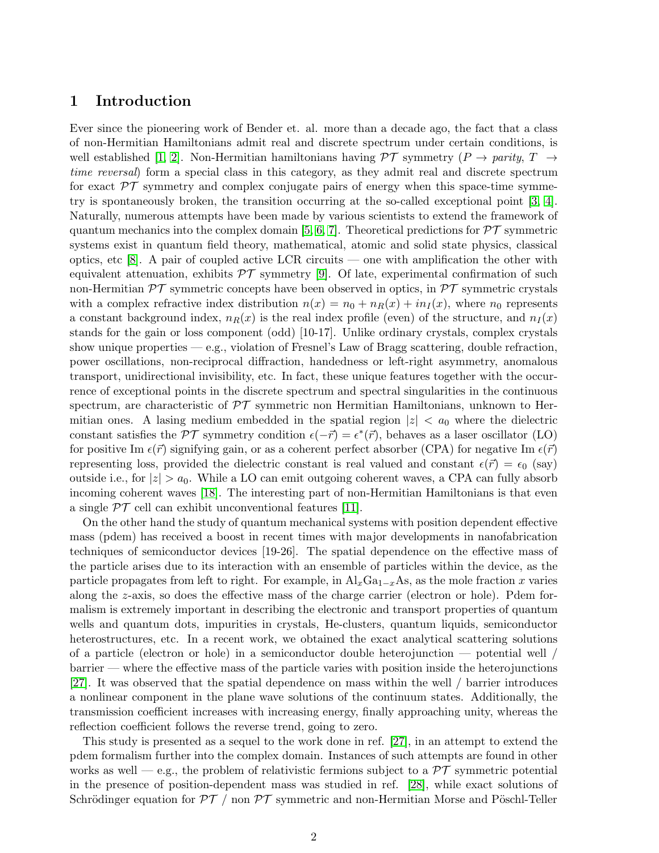### 1 Introduction

Ever since the pioneering work of Bender et. al. more than a decade ago, the fact that a class of non-Hermitian Hamiltonians admit real and discrete spectrum under certain conditions, is well established [\[1,](#page-10-0) [2\]](#page-10-1). Non-Hermitian hamiltonians having  $\mathcal{PT}$  symmetry  $(P \to parity, T \to)$ time reversal) form a special class in this category, as they admit real and discrete spectrum for exact  $\mathcal{PT}$  symmetry and complex conjugate pairs of energy when this space-time symmetry is spontaneously broken, the transition occurring at the so-called exceptional point [\[3,](#page-10-2) [4\]](#page-10-3). Naturally, numerous attempts have been made by various scientists to extend the framework of quantum mechanics into the complex domain [\[5,](#page-10-4) [6,](#page-10-5) [7\]](#page-10-6). Theoretical predictions for  $\mathcal{PT}$  symmetric systems exist in quantum field theory, mathematical, atomic and solid state physics, classical optics, etc [\[8\]](#page-10-7). A pair of coupled active LCR circuits — one with amplification the other with equivalent attenuation, exhibits  $\mathcal{PT}$  symmetry [\[9\]](#page-10-8). Of late, experimental confirmation of such non-Hermitian  $\mathcal{PT}$  symmetric concepts have been observed in optics, in  $\mathcal{PT}$  symmetric crystals with a complex refractive index distribution  $n(x) = n_0 + n_R(x) + i n_I(x)$ , where  $n_0$  represents a constant background index,  $n_R(x)$  is the real index profile (even) of the structure, and  $n_I(x)$ stands for the gain or loss component (odd) [10-17]. Unlike ordinary crystals, complex crystals show unique properties — e.g., violation of Fresnel's Law of Bragg scattering, double refraction, power oscillations, non-reciprocal diffraction, handedness or left-right asymmetry, anomalous transport, unidirectional invisibility, etc. In fact, these unique features together with the occurrence of exceptional points in the discrete spectrum and spectral singularities in the continuous spectrum, are characteristic of  $\mathcal{PT}$  symmetric non Hermitian Hamiltonians, unknown to Hermitian ones. A lasing medium embedded in the spatial region  $|z| < a_0$  where the dielectric constant satisfies the  $\mathcal{PT}$  symmetry condition  $\epsilon(-\vec{r}) = \epsilon^*(\vec{r})$ , behaves as a laser oscillator (LO) for positive Im  $\epsilon(\vec{r})$  signifying gain, or as a coherent perfect absorber (CPA) for negative Im  $\epsilon(\vec{r})$ representing loss, provided the dielectric constant is real valued and constant  $\epsilon(\vec{r}) = \epsilon_0$  (say) outside i.e., for  $|z| > a_0$ . While a LO can emit outgoing coherent waves, a CPA can fully absorb incoming coherent waves [\[18\]](#page-10-9). The interesting part of non-Hermitian Hamiltonians is that even a single  $\mathcal{PT}$  cell can exhibit unconventional features [\[11\]](#page-10-10).

On the other hand the study of quantum mechanical systems with position dependent effective mass (pdem) has received a boost in recent times with major developments in nanofabrication techniques of semiconductor devices [19-26]. The spatial dependence on the effective mass of the particle arises due to its interaction with an ensemble of particles within the device, as the particle propagates from left to right. For example, in  $\text{Al}_x\text{Ga}_{1-x}\text{As}$ , as the mole fraction x varies along the z-axis, so does the effective mass of the charge carrier (electron or hole). Pdem formalism is extremely important in describing the electronic and transport properties of quantum wells and quantum dots, impurities in crystals, He-clusters, quantum liquids, semiconductor heterostructures, etc. In a recent work, we obtained the exact analytical scattering solutions of a particle (electron or hole) in a semiconductor double heterojunction  $-$  potential well  $/$ barrier — where the effective mass of the particle varies with position inside the heterojunctions [\[27\]](#page-11-0). It was observed that the spatial dependence on mass within the well / barrier introduces a nonlinear component in the plane wave solutions of the continuum states. Additionally, the transmission coefficient increases with increasing energy, finally approaching unity, whereas the reflection coefficient follows the reverse trend, going to zero.

This study is presented as a sequel to the work done in ref. [\[27\]](#page-11-0), in an attempt to extend the pdem formalism further into the complex domain. Instances of such attempts are found in other works as well — e.g., the problem of relativistic fermions subject to a  $\mathcal{PT}$  symmetric potential in the presence of position-dependent mass was studied in ref. [\[28\]](#page-11-1), while exact solutions of Schrödinger equation for  $\mathcal{PT}$  / non  $\mathcal{PT}$  symmetric and non-Hermitian Morse and Pöschl-Teller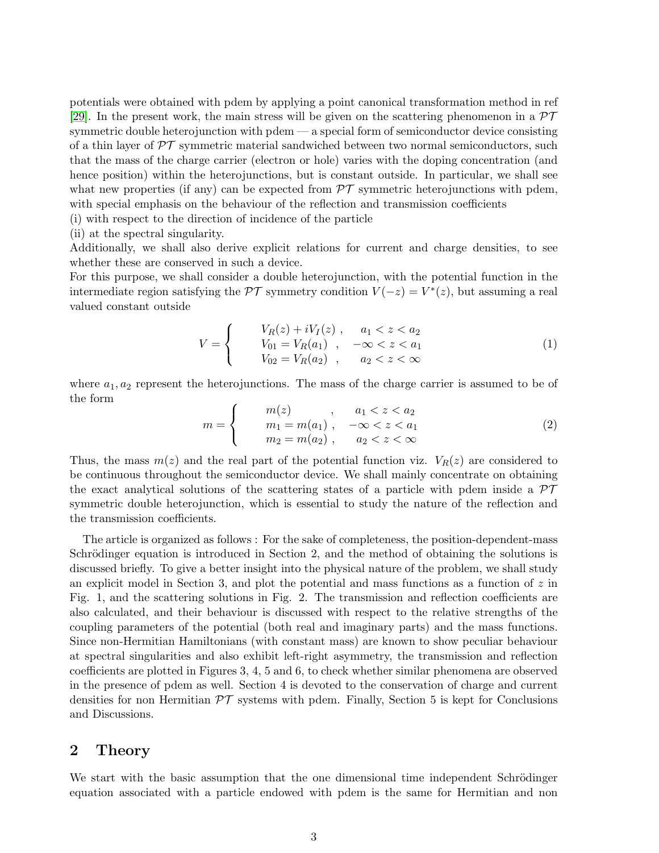potentials were obtained with pdem by applying a point canonical transformation method in ref [\[29\]](#page-11-2). In the present work, the main stress will be given on the scattering phenomenon in a  $\mathcal{PT}$ symmetric double heterojunction with pdem — a special form of semiconductor device consisting of a thin layer of  $\mathcal{PT}$  symmetric material sandwiched between two normal semiconductors, such that the mass of the charge carrier (electron or hole) varies with the doping concentration (and hence position) within the heterojunctions, but is constant outside. In particular, we shall see what new properties (if any) can be expected from  $\mathcal{PT}$  symmetric heterojunctions with pdem, with special emphasis on the behaviour of the reflection and transmission coefficients

(i) with respect to the direction of incidence of the particle

(ii) at the spectral singularity.

Additionally, we shall also derive explicit relations for current and charge densities, to see whether these are conserved in such a device.

For this purpose, we shall consider a double heterojunction, with the potential function in the intermediate region satisfying the  $\mathcal{PT}$  symmetry condition  $V(-z) = V^*(z)$ , but assuming a real valued constant outside

$$
V = \begin{cases} & V_R(z) + iV_I(z) , & a_1 < z < a_2 \\ & V_{01} = V_R(a_1) , & -\infty < z < a_1 \\ & V_{02} = V_R(a_2) , & a_2 < z < \infty \end{cases}
$$
 (1)

where  $a_1, a_2$  represent the heterojunctions. The mass of the charge carrier is assumed to be of the form

$$
m = \begin{cases} m(z) , & a_1 < z < a_2 \\ m_1 = m(a_1) , & -\infty < z < a_1 \\ m_2 = m(a_2) , & a_2 < z < \infty \end{cases}
$$
 (2)

Thus, the mass  $m(z)$  and the real part of the potential function viz.  $V_R(z)$  are considered to be continuous throughout the semiconductor device. We shall mainly concentrate on obtaining the exact analytical solutions of the scattering states of a particle with pdem inside a  $\mathcal{PT}$ symmetric double heterojunction, which is essential to study the nature of the reflection and the transmission coefficients.

The article is organized as follows : For the sake of completeness, the position-dependent-mass Schrödinger equation is introduced in Section 2, and the method of obtaining the solutions is discussed briefly. To give a better insight into the physical nature of the problem, we shall study an explicit model in Section 3, and plot the potential and mass functions as a function of  $z$  in Fig. 1, and the scattering solutions in Fig. 2. The transmission and reflection coefficients are also calculated, and their behaviour is discussed with respect to the relative strengths of the coupling parameters of the potential (both real and imaginary parts) and the mass functions. Since non-Hermitian Hamiltonians (with constant mass) are known to show peculiar behaviour at spectral singularities and also exhibit left-right asymmetry, the transmission and reflection coefficients are plotted in Figures 3, 4, 5 and 6, to check whether similar phenomena are observed in the presence of pdem as well. Section 4 is devoted to the conservation of charge and current densities for non Hermitian  $\mathcal{PT}$  systems with pdem. Finally, Section 5 is kept for Conclusions and Discussions.

### 2 Theory

We start with the basic assumption that the one dimensional time independent Schrödinger equation associated with a particle endowed with pdem is the same for Hermitian and non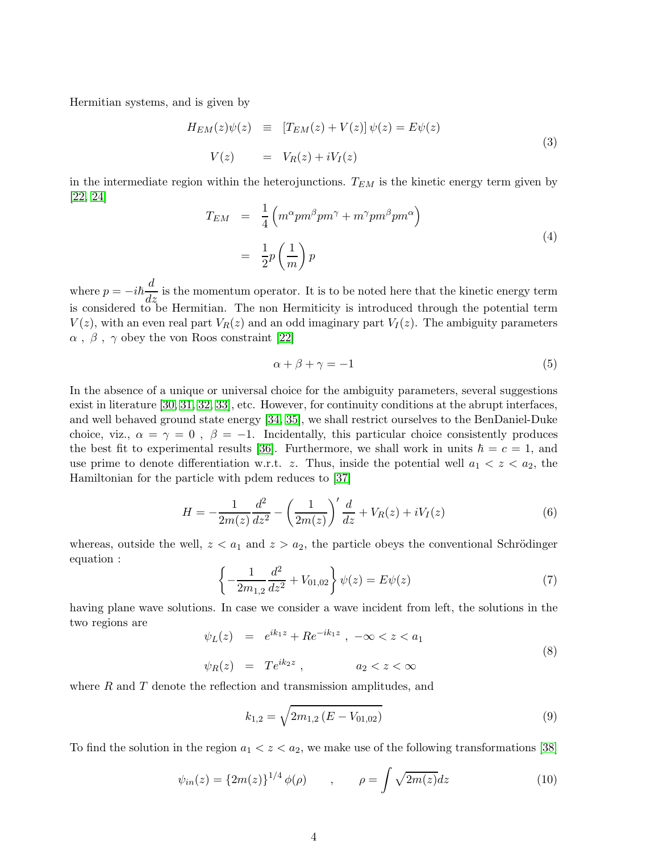Hermitian systems, and is given by

<span id="page-3-1"></span>
$$
H_{EM}(z)\psi(z) \equiv [T_{EM}(z) + V(z)]\psi(z) = E\psi(z)
$$
  
\n
$$
V(z) = V_R(z) + iV_I(z)
$$
\n(3)

in the intermediate region within the heterojunctions.  $T_{EM}$  is the kinetic energy term given by [\[22,](#page-10-11) [24\]](#page-11-3)

$$
T_{EM} = \frac{1}{4} \left( m^{\alpha} p m^{\beta} p m^{\gamma} + m^{\gamma} p m^{\beta} p m^{\alpha} \right)
$$
  

$$
= \frac{1}{2} p \left( \frac{1}{m} \right) p
$$
 (4)

where  $p = -i\hbar \frac{d}{dz}$  is the momentum operator. It is to be noted here that the kinetic energy term is considered to be Hermitian. The non Hermiticity is introduced through the potential term  $V(z)$ , with an even real part  $V_R(z)$  and an odd imaginary part  $V_I(z)$ . The ambiguity parameters  $\alpha$ ,  $\beta$ ,  $\gamma$  obey the von Roos constraint [\[22\]](#page-10-11)

$$
\alpha + \beta + \gamma = -1 \tag{5}
$$

In the absence of a unique or universal choice for the ambiguity parameters, several suggestions exist in literature [\[30,](#page-11-4) [31,](#page-11-5) [32,](#page-11-6) [33\]](#page-11-7), etc. However, for continuity conditions at the abrupt interfaces, and well behaved ground state energy [\[34,](#page-11-8) [35\]](#page-11-9), we shall restrict ourselves to the BenDaniel-Duke choice, viz.,  $\alpha = \gamma = 0$ ,  $\beta = -1$ . Incidentally, this particular choice consistently produces the best fit to experimental results [\[36\]](#page-11-10). Furthermore, we shall work in units  $\hbar = c = 1$ , and use prime to denote differentiation w.r.t. z. Thus, inside the potential well  $a_1 < z < a_2$ , the Hamiltonian for the particle with pdem reduces to [\[37\]](#page-11-11)

$$
H = -\frac{1}{2m(z)}\frac{d^2}{dz^2} - \left(\frac{1}{2m(z)}\right)' \frac{d}{dz} + V_R(z) + iV_I(z)
$$
(6)

whereas, outside the well,  $z < a_1$  and  $z > a_2$ , the particle obeys the conventional Schrödinger equation :

$$
\left\{-\frac{1}{2m_{1,2}}\frac{d^2}{dz^2} + V_{01,02}\right\}\psi(z) = E\psi(z)
$$
\n(7)

having plane wave solutions. In case we consider a wave incident from left, the solutions in the two regions are

<span id="page-3-2"></span>
$$
\psi_L(z) = e^{ik_1 z} + Re^{-ik_1 z} , -\infty < z < a_1
$$
  
\n
$$
\psi_R(z) = Te^{ik_2 z} , \qquad a_2 < z < \infty
$$
\n(8)

where  $R$  and  $T$  denote the reflection and transmission amplitudes, and

$$
k_{1,2} = \sqrt{2m_{1,2}\left(E - V_{01,02}\right)}\tag{9}
$$

To find the solution in the region  $a_1 < z < a_2$ , we make use of the following transformations [\[38\]](#page-11-12)

<span id="page-3-0"></span>
$$
\psi_{in}(z) = \{2m(z)\}^{1/4} \phi(\rho) \qquad , \qquad \rho = \int \sqrt{2m(z)} dz \tag{10}
$$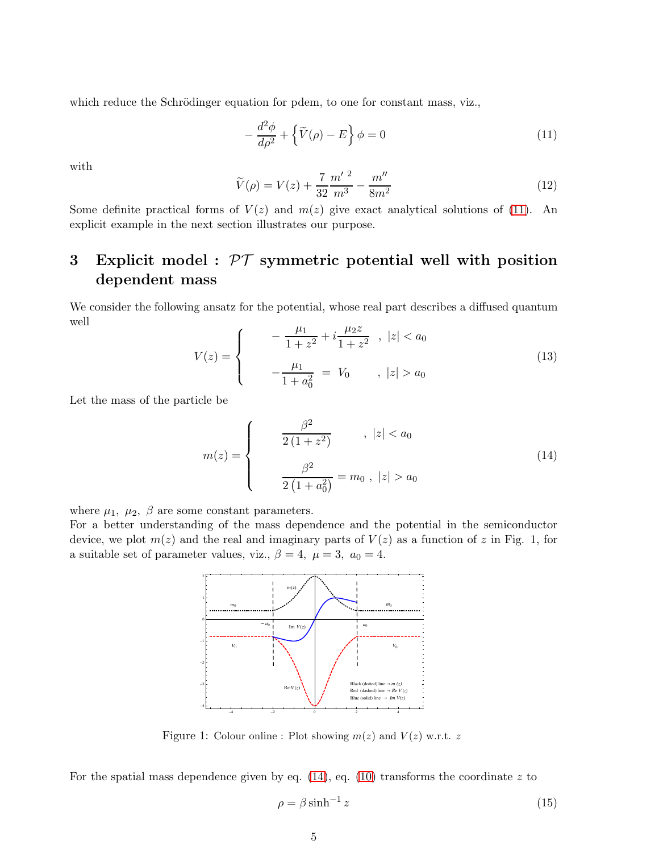which reduce the Schrödinger equation for pdem, to one for constant mass, viz.,

<span id="page-4-0"></span>
$$
-\frac{d^2\phi}{d\rho^2} + \left\{\widetilde{V}(\rho) - E\right\}\phi = 0\tag{11}
$$

with

<span id="page-4-2"></span>
$$
\widetilde{V}(\rho) = V(z) + \frac{7}{32} \frac{m'^2}{m^3} - \frac{m''}{8m^2}
$$
\n(12)

Some definite practical forms of  $V(z)$  and  $m(z)$  give exact analytical solutions of [\(11\)](#page-4-0). An explicit example in the next section illustrates our purpose.

### 3 Explicit model :  $\mathcal{PT}$  symmetric potential well with position dependent mass

We consider the following ansatz for the potential, whose real part describes a diffused quantum well

$$
V(z) = \begin{cases} -\frac{\mu_1}{1+z^2} + i\frac{\mu_2 z}{1+z^2} , \ |z| < a_0 \\ -\frac{\mu_1}{1+a_0^2} = V_0 , \ |z| > a_0 \end{cases}
$$
(13)

Let the mass of the particle be

<span id="page-4-1"></span>
$$
m(z) = \begin{cases} \frac{\beta^2}{2(1+z^2)} & , |z| < a_0\\ \frac{\beta^2}{2(1+a_0^2)} = m_0, |z| > a_0 \end{cases}
$$
(14)

where  $\mu_1$ ,  $\mu_2$ ,  $\beta$  are some constant parameters.

For a better understanding of the mass dependence and the potential in the semiconductor device, we plot  $m(z)$  and the real and imaginary parts of  $V(z)$  as a function of z in Fig. 1, for a suitable set of parameter values, viz.,  $\beta = 4$ ,  $\mu = 3$ ,  $a_0 = 4$ .



Figure 1: Colour online : Plot showing  $m(z)$  and  $V(z)$  w.r.t. z

For the spatial mass dependence given by eq.  $(14)$ , eq.  $(10)$  transforms the coordinate z to

$$
\rho = \beta \sinh^{-1} z \tag{15}
$$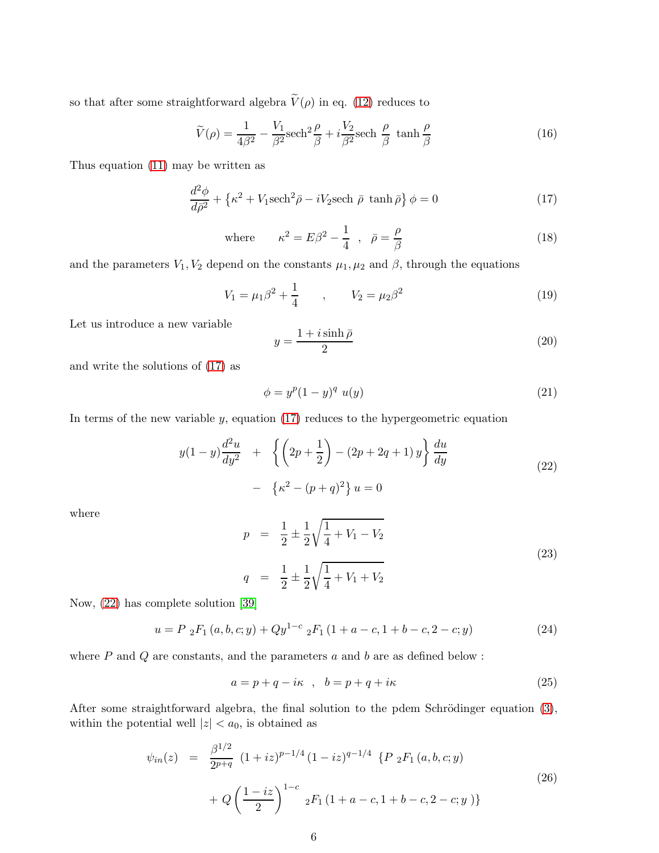so that after some straightforward algebra  $\widetilde{V}(\rho)$  in eq. [\(12\)](#page-4-2) reduces to

$$
\widetilde{V}(\rho) = \frac{1}{4\beta^2} - \frac{V_1}{\beta^2} \text{sech}^2 \frac{\rho}{\beta} + i \frac{V_2}{\beta^2} \text{sech} \frac{\rho}{\beta} \tanh \frac{\rho}{\beta} \tag{16}
$$

Thus equation [\(11\)](#page-4-0) may be written as

<span id="page-5-0"></span>
$$
\frac{d^2\phi}{d\bar{\rho}^2} + \left\{\kappa^2 + V_1 \text{sech}^2 \bar{\rho} - iV_2 \text{sech } \bar{\rho} \, \tanh \bar{\rho}\right\} \phi = 0\tag{17}
$$

where 
$$
\kappa^2 = E\beta^2 - \frac{1}{4} , \quad \bar{\rho} = \frac{\rho}{\beta}
$$
 (18)

and the parameters  $V_1, V_2$  depend on the constants  $\mu_1, \mu_2$  and  $\beta$ , through the equations

$$
V_1 = \mu_1 \beta^2 + \frac{1}{4} \qquad , \qquad V_2 = \mu_2 \beta^2 \tag{19}
$$

Let us introduce a new variable

$$
y = \frac{1 + i \sinh \bar{\rho}}{2} \tag{20}
$$

and write the solutions of [\(17\)](#page-5-0) as

$$
\phi = y^p (1 - y)^q u(y) \tag{21}
$$

In terms of the new variable  $y$ , equation [\(17\)](#page-5-0) reduces to the hypergeometric equation

<span id="page-5-1"></span>
$$
y(1-y)\frac{d^2u}{dy^2} + \left\{ \left(2p + \frac{1}{2}\right) - (2p + 2q + 1) y \right\} \frac{du}{dy}
$$
  
- 
$$
\left\{ \kappa^2 - (p+q)^2 \right\} u = 0
$$
 (22)

where

$$
p = \frac{1}{2} \pm \frac{1}{2} \sqrt{\frac{1}{4} + V_1 - V_2}
$$
  
\n
$$
q = \frac{1}{2} \pm \frac{1}{2} \sqrt{\frac{1}{4} + V_1 + V_2}
$$
\n(23)

Now, [\(22\)](#page-5-1) has complete solution [\[39\]](#page-11-13)

$$
u = P_2F_1(a, b, c; y) + Qy^{1-c} {}_2F_1(1 + a - c, 1 + b - c, 2 - c; y)
$$
\n(24)

where  $P$  and  $Q$  are constants, and the parameters  $a$  and  $b$  are as defined below :

$$
a = p + q - i\kappa \quad , \quad b = p + q + i\kappa \tag{25}
$$

After some straightforward algebra, the final solution to the pdem Schrödinger equation  $(3)$ , within the potential well  $|z| < a_0$ , is obtained as

$$
\psi_{in}(z) = \frac{\beta^{1/2}}{2^{p+q}} (1+iz)^{p-1/4} (1-iz)^{q-1/4} \{P_2F_1(a,b,c;y) + Q\left(\frac{1-iz}{2}\right)^{1-c} {}_2F_1(1+a-c,1+b-c,2-c;y)\}
$$
\n(26)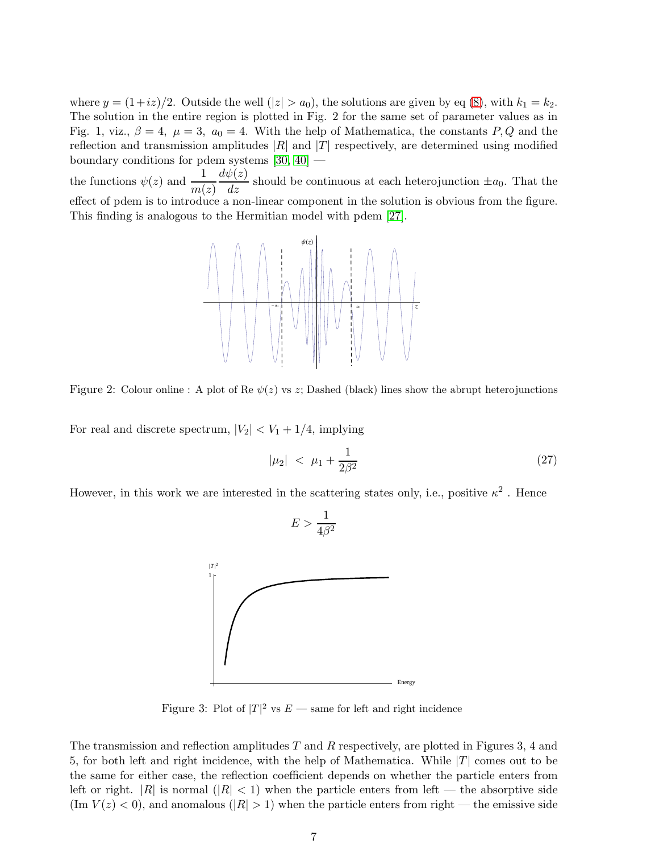where  $y = (1+i\overline{z})/2$ . Outside the well  $(|z| > a_0)$ , the solutions are given by eq [\(8\)](#page-3-2), with  $k_1 = k_2$ . The solution in the entire region is plotted in Fig. 2 for the same set of parameter values as in Fig. 1, viz.,  $\beta = 4$ ,  $\mu = 3$ ,  $a_0 = 4$ . With the help of Mathematica, the constants P, Q and the reflection and transmission amplitudes  $|R|$  and  $|T|$  respectively, are determined using modified boundary conditions for pdem systems [\[30,](#page-11-4) [40\]](#page-11-14) —

the functions  $\psi(z)$  and  $\frac{1}{m(z)}$  $\frac{d\psi(z)}{dz}$  should be continuous at each heterojunction  $\pm a_0$ . That the effect of pdem is to introduce a non-linear component in the solution is obvious from the figure. This finding is analogous to the Hermitian model with pdem [\[27\]](#page-11-0).



Figure 2: Colour online : A plot of Re  $\psi(z)$  vs z; Dashed (black) lines show the abrupt heterojunctions

For real and discrete spectrum,  $|V_2| < V_1 + 1/4$ , implying

$$
|\mu_2| \, < \, \mu_1 + \frac{1}{2\beta^2} \tag{27}
$$

However, in this work we are interested in the scattering states only, i.e., positive  $\kappa^2$ . Hence

 $E > \frac{1}{4\beta^2}$ 



Figure 3: Plot of  $|T|^2$  vs  $E$  — same for left and right incidence

The transmission and reflection amplitudes  $T$  and  $R$  respectively, are plotted in Figures 3, 4 and 5, for both left and right incidence, with the help of Mathematica. While  $|T|$  comes out to be the same for either case, the reflection coefficient depends on whether the particle enters from left or right.  $|R|$  is normal  $(|R| < 1)$  when the particle enters from left — the absorptive side  $(\text{Im } V(z) < 0)$ , and anomalous  $(|R| > 1)$  when the particle enters from right — the emissive side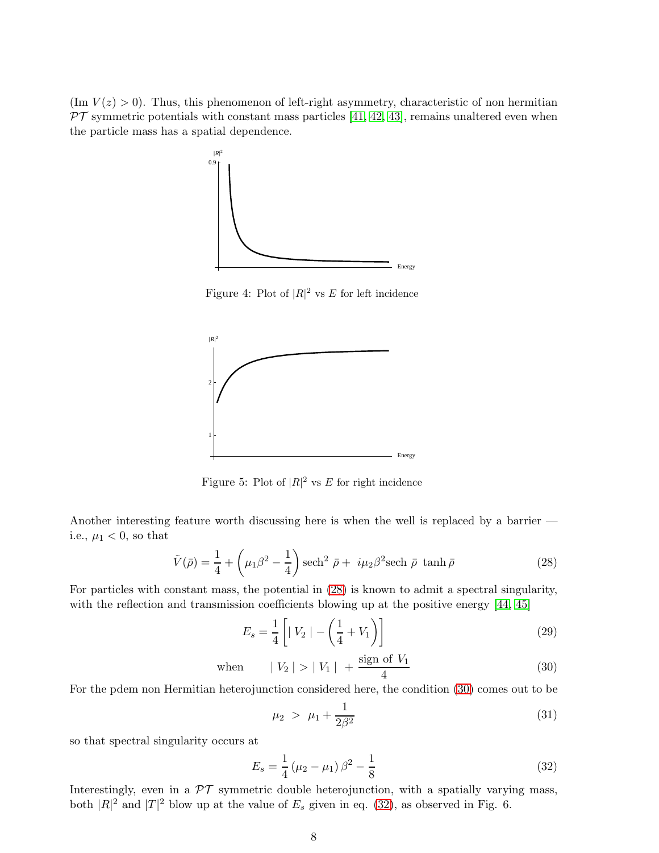$(\text{Im } V(z) > 0)$ . Thus, this phenomenon of left-right asymmetry, characteristic of non hermitian  $PT$  symmetric potentials with constant mass particles [\[41,](#page-11-15) [42,](#page-11-16) [43\]](#page-11-17), remains unaltered even when the particle mass has a spatial dependence.



Figure 4: Plot of  $|R|^2$  vs E for left incidence



Figure 5: Plot of  $|R|^2$  vs E for right incidence

Another interesting feature worth discussing here is when the well is replaced by a barrier i.e.,  $\mu_1 < 0$ , so that

<span id="page-7-0"></span>
$$
\tilde{V}(\bar{\rho}) = \frac{1}{4} + \left(\mu_1 \beta^2 - \frac{1}{4}\right) \operatorname{sech}^2 \bar{\rho} + i\mu_2 \beta^2 \operatorname{sech} \bar{\rho} \tanh \bar{\rho}
$$
\n(28)

For particles with constant mass, the potential in [\(28\)](#page-7-0) is known to admit a spectral singularity, with the reflection and transmission coefficients blowing up at the positive energy [\[44,](#page-11-18) [45\]](#page-11-19)

$$
E_s = \frac{1}{4} \left[ |V_2| - \left( \frac{1}{4} + V_1 \right) \right] \tag{29}
$$

<span id="page-7-1"></span>when 
$$
|V_2| > |V_1| + \frac{\text{sign of } V_1}{4}
$$
 (30)

For the pdem non Hermitian heterojunction considered here, the condition [\(30\)](#page-7-1) comes out to be

$$
\mu_2 > \mu_1 + \frac{1}{2\beta^2} \tag{31}
$$

so that spectral singularity occurs at

<span id="page-7-2"></span>
$$
E_s = \frac{1}{4} \left(\mu_2 - \mu_1\right) \beta^2 - \frac{1}{8} \tag{32}
$$

Interestingly, even in a  $\mathcal{PT}$  symmetric double heterojunction, with a spatially varying mass, both  $|R|^2$  and  $|T|^2$  blow up at the value of  $E_s$  given in eq. [\(32\)](#page-7-2), as observed in Fig. 6.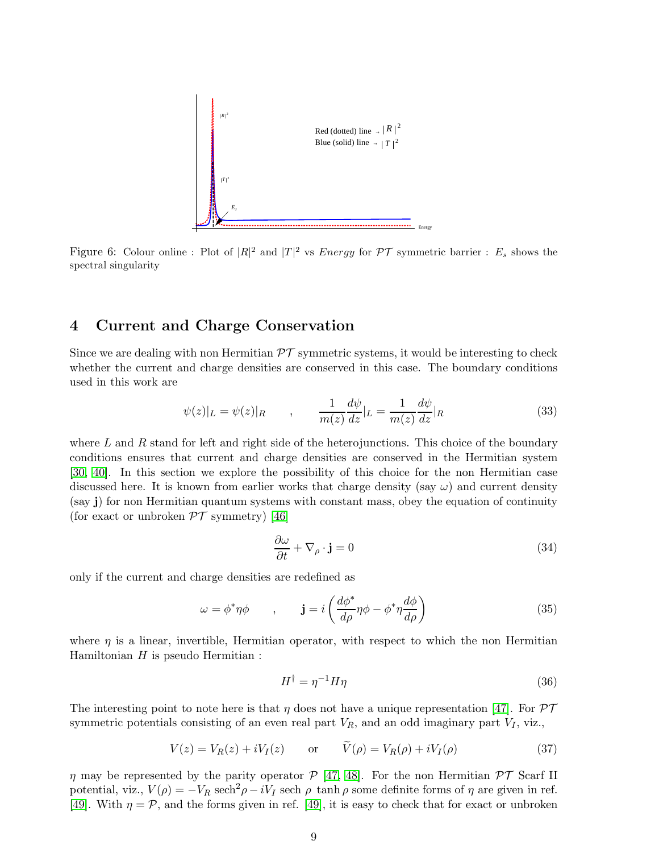

Figure 6: Colour online : Plot of  $|R|^2$  and  $|T|^2$  vs *Energy* for  $\mathcal{PT}$  symmetric barrier :  $E_s$  shows the spectral singularity

### 4 Current and Charge Conservation

Since we are dealing with non Hermitian  $\mathcal{PT}$  symmetric systems, it would be interesting to check whether the current and charge densities are conserved in this case. The boundary conditions used in this work are

<span id="page-8-1"></span>
$$
\psi(z)|_L = \psi(z)|_R \qquad , \qquad \frac{1}{m(z)}\frac{d\psi}{dz}|_L = \frac{1}{m(z)}\frac{d\psi}{dz}|_R \tag{33}
$$

where  $L$  and  $R$  stand for left and right side of the heterojunctions. This choice of the boundary conditions ensures that current and charge densities are conserved in the Hermitian system [\[30,](#page-11-4) [40\]](#page-11-14). In this section we explore the possibility of this choice for the non Hermitian case discussed here. It is known from earlier works that charge density (say  $\omega$ ) and current density (say j) for non Hermitian quantum systems with constant mass, obey the equation of continuity (for exact or unbroken  $\mathcal{PT}$  symmetry) [\[46\]](#page-11-20)

<span id="page-8-0"></span>
$$
\frac{\partial \omega}{\partial t} + \nabla_{\rho} \cdot \mathbf{j} = 0 \tag{34}
$$

only if the current and charge densities are redefined as

$$
\omega = \phi^* \eta \phi \qquad , \qquad \mathbf{j} = i \left( \frac{d\phi^*}{d\rho} \eta \phi - \phi^* \eta \frac{d\phi}{d\rho} \right) \tag{35}
$$

where  $\eta$  is a linear, invertible, Hermitian operator, with respect to which the non Hermitian Hamiltonian  $H$  is pseudo Hermitian :

$$
H^{\dagger} = \eta^{-1} H \eta \tag{36}
$$

The interesting point to note here is that  $\eta$  does not have a unique representation [\[47\]](#page-11-21). For  $\mathcal{PT}$ symmetric potentials consisting of an even real part  $V_R$ , and an odd imaginary part  $V_I$ , viz.,

$$
V(z) = V_R(z) + iV_I(z) \qquad \text{or} \qquad V(\rho) = V_R(\rho) + iV_I(\rho) \tag{37}
$$

 $\eta$  may be represented by the parity operator  $\mathcal{P}$  [\[47,](#page-11-21) [48\]](#page-11-22). For the non Hermitian  $\mathcal{PT}$  Scarf II potential, viz.,  $V(\rho) = -V_R \text{ sech}^2 \rho - iV_I \text{ sech } \rho \text{ tanh } \rho \text{ some definite forms of } \eta \text{ are given in ref.}$ [\[49\]](#page-11-23). With  $\eta = \mathcal{P}$ , and the forms given in ref. [\[49\]](#page-11-23), it is easy to check that for exact or unbroken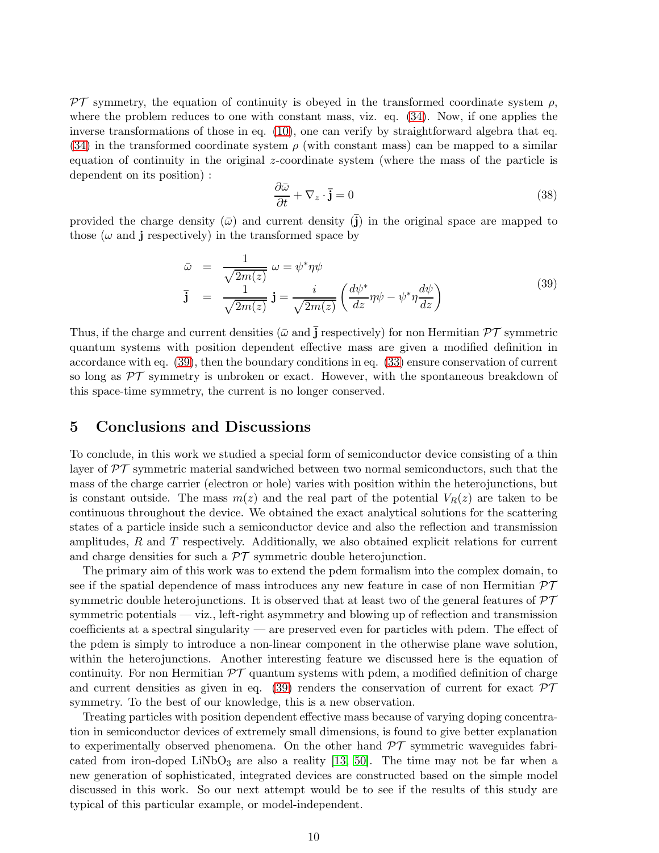PT symmetry, the equation of continuity is obeyed in the transformed coordinate system  $\rho$ , where the problem reduces to one with constant mass, viz. eq. [\(34\)](#page-8-0). Now, if one applies the inverse transformations of those in eq. [\(10\)](#page-3-0), one can verify by straightforward algebra that eq.  $(34)$  in the transformed coordinate system  $\rho$  (with constant mass) can be mapped to a similar equation of continuity in the original z-coordinate system (where the mass of the particle is dependent on its position) :

$$
\frac{\partial \bar{\omega}}{\partial t} + \nabla_z \cdot \bar{\mathbf{j}} = 0 \tag{38}
$$

provided the charge density  $(\bar{\omega})$  and current density  $(\bar{j})$  in the original space are mapped to those ( $\omega$  and j respectively) in the transformed space by

<span id="page-9-0"></span>
$$
\bar{\omega} = \frac{1}{\sqrt{2m(z)}} \omega = \psi^* \eta \psi
$$
  

$$
\bar{\mathbf{j}} = \frac{1}{\sqrt{2m(z)}} \mathbf{j} = \frac{i}{\sqrt{2m(z)}} \left( \frac{d\psi^*}{dz} \eta \psi - \psi^* \eta \frac{d\psi}{dz} \right)
$$
(39)

Thus, if the charge and current densities ( $\bar{\omega}$  and  $\bar{\mathbf{j}}$  respectively) for non Hermitian  $\mathcal{PT}$  symmetric quantum systems with position dependent effective mass are given a modified definition in accordance with eq. [\(39\)](#page-9-0), then the boundary conditions in eq. [\(33\)](#page-8-1) ensure conservation of current so long as  $\mathcal{PT}$  symmetry is unbroken or exact. However, with the spontaneous breakdown of this space-time symmetry, the current is no longer conserved.

### 5 Conclusions and Discussions

To conclude, in this work we studied a special form of semiconductor device consisting of a thin layer of  $\mathcal{PT}$  symmetric material sandwiched between two normal semiconductors, such that the mass of the charge carrier (electron or hole) varies with position within the heterojunctions, but is constant outside. The mass  $m(z)$  and the real part of the potential  $V_R(z)$  are taken to be continuous throughout the device. We obtained the exact analytical solutions for the scattering states of a particle inside such a semiconductor device and also the reflection and transmission amplitudes,  $R$  and  $T$  respectively. Additionally, we also obtained explicit relations for current and charge densities for such a  $\mathcal{PT}$  symmetric double heterojunction.

The primary aim of this work was to extend the pdem formalism into the complex domain, to see if the spatial dependence of mass introduces any new feature in case of non Hermitian  $\mathcal{PT}$ symmetric double heterojunctions. It is observed that at least two of the general features of  $\mathcal{PT}$ symmetric potentials — viz., left-right asymmetry and blowing up of reflection and transmission coefficients at a spectral singularity — are preserved even for particles with pdem. The effect of the pdem is simply to introduce a non-linear component in the otherwise plane wave solution, within the heterojunctions. Another interesting feature we discussed here is the equation of continuity. For non Hermitian  $\mathcal{PT}$  quantum systems with pdem, a modified definition of charge and current densities as given in eq. [\(39\)](#page-9-0) renders the conservation of current for exact  $\mathcal{PT}$ symmetry. To the best of our knowledge, this is a new observation.

Treating particles with position dependent effective mass because of varying doping concentration in semiconductor devices of extremely small dimensions, is found to give better explanation to experimentally observed phenomena. On the other hand  $\mathcal{PT}$  symmetric waveguides fabri-cated from iron-doped LiNbO<sub>3</sub> are also a reality [\[13,](#page-10-12) [50\]](#page-11-24). The time may not be far when a new generation of sophisticated, integrated devices are constructed based on the simple model discussed in this work. So our next attempt would be to see if the results of this study are typical of this particular example, or model-independent.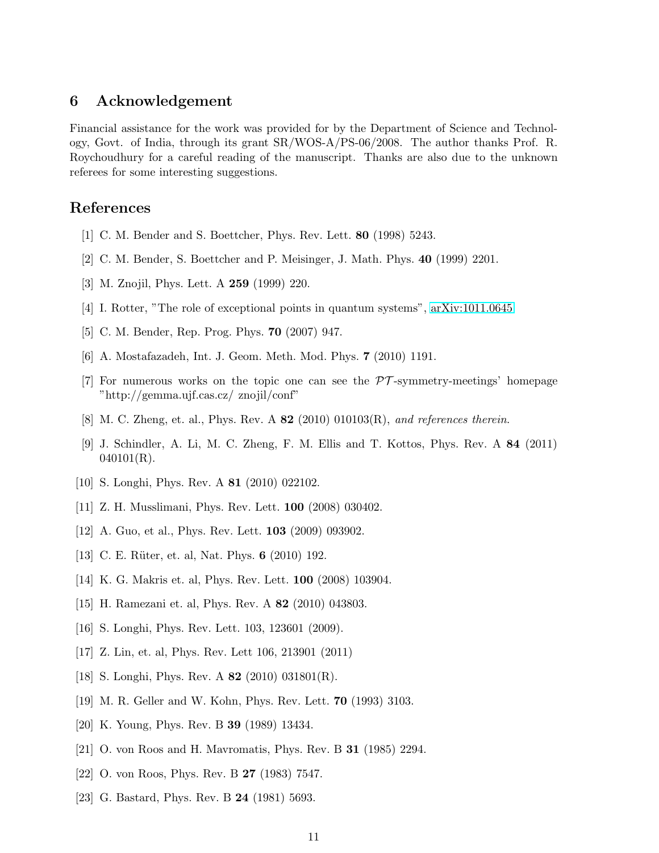### 6 Acknowledgement

Financial assistance for the work was provided for by the Department of Science and Technology, Govt. of India, through its grant SR/WOS-A/PS-06/2008. The author thanks Prof. R. Roychoudhury for a careful reading of the manuscript. Thanks are also due to the unknown referees for some interesting suggestions.

### <span id="page-10-0"></span>References

- <span id="page-10-1"></span>[1] C. M. Bender and S. Boettcher, Phys. Rev. Lett. 80 (1998) 5243.
- <span id="page-10-2"></span>[2] C. M. Bender, S. Boettcher and P. Meisinger, J. Math. Phys. 40 (1999) 2201.
- <span id="page-10-3"></span>[3] M. Znojil, Phys. Lett. A 259 (1999) 220.
- <span id="page-10-4"></span>[4] I. Rotter, "The role of exceptional points in quantum systems", [arXiv:1011.0645](http://arxiv.org/abs/1011.0645)
- <span id="page-10-5"></span>[5] C. M. Bender, Rep. Prog. Phys. 70 (2007) 947.
- <span id="page-10-6"></span>[6] A. Mostafazadeh, Int. J. Geom. Meth. Mod. Phys. 7 (2010) 1191.
- <span id="page-10-7"></span> $[7]$  For numerous works on the topic one can see the  $\mathcal{PT}$ -symmetry-meetings' homepage "http://gemma.ujf.cas.cz/ znojil/conf"
- <span id="page-10-8"></span>[8] M. C. Zheng, et. al., Phys. Rev. A 82 (2010) 010103(R), and references therein.
- [9] J. Schindler, A. Li, M. C. Zheng, F. M. Ellis and T. Kottos, Phys. Rev. A 84 (2011)  $040101(R)$ .
- <span id="page-10-10"></span>[10] S. Longhi, Phys. Rev. A 81 (2010) 022102.
- [11] Z. H. Musslimani, Phys. Rev. Lett. 100 (2008) 030402.
- <span id="page-10-12"></span>[12] A. Guo, et al., Phys. Rev. Lett. 103 (2009) 093902.
- [13] C. E. Rüter, et. al, Nat. Phys. **6** (2010) 192.
- [14] K. G. Makris et. al, Phys. Rev. Lett. 100 (2008) 103904.
- [15] H. Ramezani et. al, Phys. Rev. A 82 (2010) 043803.
- [16] S. Longhi, Phys. Rev. Lett. 103, 123601 (2009).
- <span id="page-10-9"></span>[17] Z. Lin, et. al, Phys. Rev. Lett 106, 213901 (2011)
- [18] S. Longhi, Phys. Rev. A **82** (2010) 031801(R).
- [19] M. R. Geller and W. Kohn, Phys. Rev. Lett. 70 (1993) 3103.
- [20] K. Young, Phys. Rev. B 39 (1989) 13434.
- <span id="page-10-11"></span>[21] O. von Roos and H. Mavromatis, Phys. Rev. B 31 (1985) 2294.
- [22] O. von Roos, Phys. Rev. B 27 (1983) 7547.
- [23] G. Bastard, Phys. Rev. B **24** (1981) 5693.